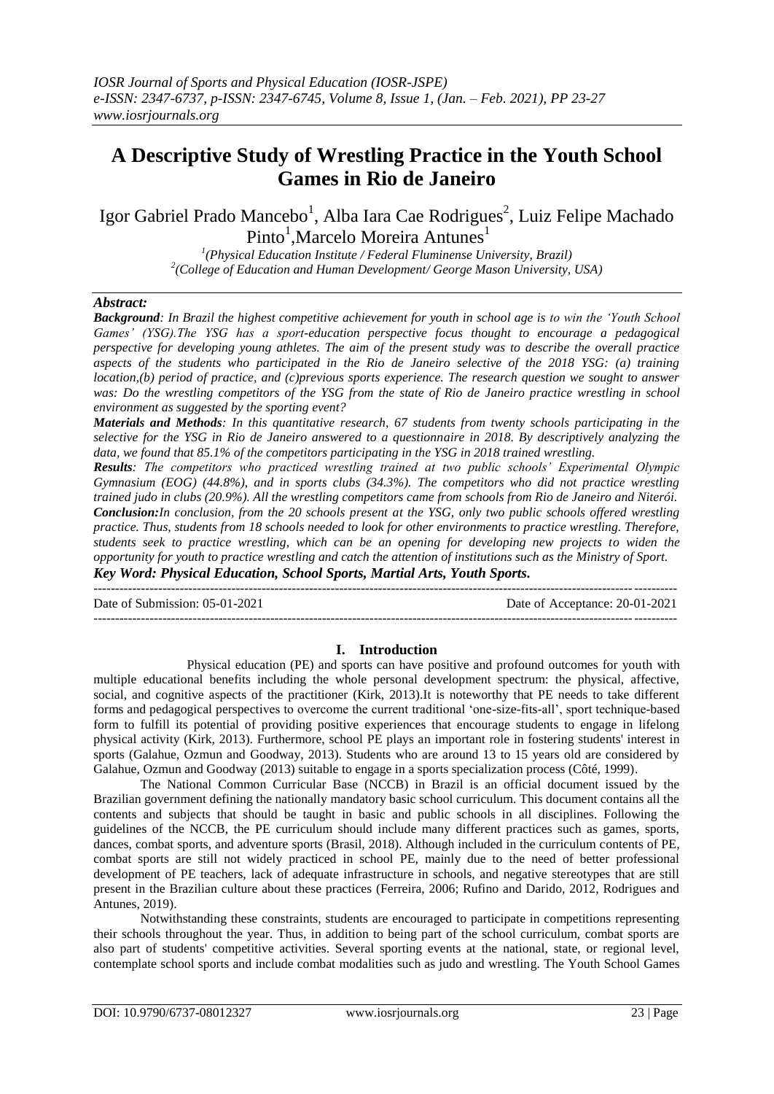# **A Descriptive Study of Wrestling Practice in the Youth School Games in Rio de Janeiro**

Igor Gabriel Prado Mancebo<sup>1</sup>, Alba Iara Cae Rodrigues<sup>2</sup>, Luiz Felipe Machado Pinto<sup>1</sup>, Marcelo Moreira Antunes<sup>1</sup>

*1 (Physical Education Institute / Federal Fluminense University, Brazil) 2 (College of Education and Human Development/ George Mason University, USA)* 

# *Abstract:*

*Background: In Brazil the highest competitive achievement for youth in school age is to win the 'Youth School Games' (YSG).The YSG has a sport-education perspective focus thought to encourage a pedagogical perspective for developing young athletes. The aim of the present study was to describe the overall practice aspects of the students who participated in the Rio de Janeiro selective of the 2018 YSG: (a) training location,(b) period of practice, and (c)previous sports experience. The research question we sought to answer was: Do the wrestling competitors of the YSG from the state of Rio de Janeiro practice wrestling in school environment as suggested by the sporting event?*

*Materials and Methods: In this quantitative research, 67 students from twenty schools participating in the selective for the YSG in Rio de Janeiro answered to a questionnaire in 2018. By descriptively analyzing the data, we found that 85.1% of the competitors participating in the YSG in 2018 trained wrestling.*

*Results: The competitors who practiced wrestling trained at two public schools' Experimental Olympic Gymnasium (EOG) (44.8%), and in sports clubs (34.3%). The competitors who did not practice wrestling trained judo in clubs (20.9%). All the wrestling competitors came from schools from Rio de Janeiro and Niterói. Conclusion:In conclusion, from the 20 schools present at the YSG, only two public schools offered wrestling practice. Thus, students from 18 schools needed to look for other environments to practice wrestling. Therefore, students seek to practice wrestling, which can be an opening for developing new projects to widen the opportunity for youth to practice wrestling and catch the attention of institutions such as the Ministry of Sport. Key Word: Physical Education, School Sports, Martial Arts, Youth Sports.*

Date of Submission: 05-01-2021 Date of Acceptance: 20-01-2021

---------------------------------------------------------------------------------------------------------------------------------------

---------------------------------------------------------------------------------------------------------------------------------------

## **I. Introduction**

Physical education (PE) and sports can have positive and profound outcomes for youth with multiple educational benefits including the whole personal development spectrum: the physical, affective, social, and cognitive aspects of the practitioner (Kirk, 2013).It is noteworthy that PE needs to take different forms and pedagogical perspectives to overcome the current traditional 'one-size-fits-all', sport technique-based form to fulfill its potential of providing positive experiences that encourage students to engage in lifelong physical activity (Kirk, 2013). Furthermore, school PE plays an important role in fostering students' interest in sports (Galahue, Ozmun and Goodway, 2013). Students who are around 13 to 15 years old are considered by Galahue, Ozmun and Goodway (2013) suitable to engage in a sports specialization process (Côté, 1999).

The National Common Curricular Base (NCCB) in Brazil is an official document issued by the Brazilian government defining the nationally mandatory basic school curriculum. This document contains all the contents and subjects that should be taught in basic and public schools in all disciplines. Following the guidelines of the NCCB, the PE curriculum should include many different practices such as games, sports, dances, combat sports, and adventure sports (Brasil, 2018). Although included in the curriculum contents of PE, combat sports are still not widely practiced in school PE, mainly due to the need of better professional development of PE teachers, lack of adequate infrastructure in schools, and negative stereotypes that are still present in the Brazilian culture about these practices (Ferreira, 2006; Rufino and Darido, 2012, Rodrigues and Antunes, 2019).

Notwithstanding these constraints, students are encouraged to participate in competitions representing their schools throughout the year. Thus, in addition to being part of the school curriculum, combat sports are also part of students' competitive activities. Several sporting events at the national, state, or regional level, contemplate school sports and include combat modalities such as judo and wrestling. The Youth School Games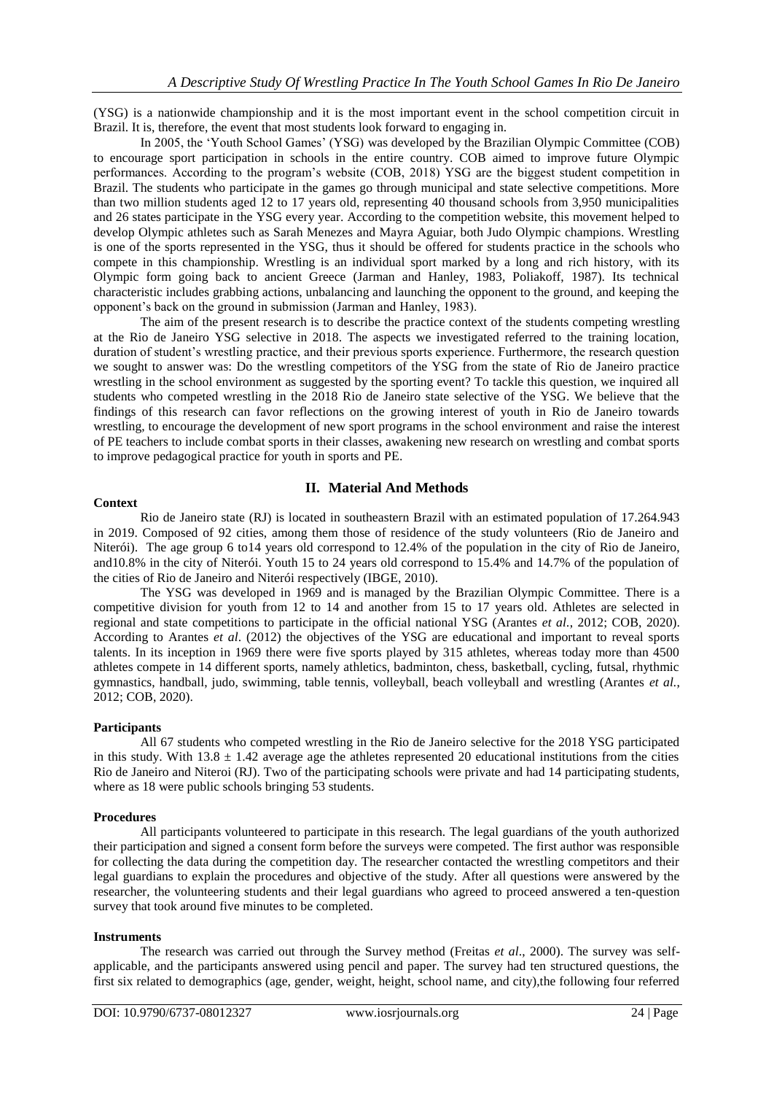(YSG) is a nationwide championship and it is the most important event in the school competition circuit in Brazil. It is, therefore, the event that most students look forward to engaging in.

In 2005, the 'Youth School Games' (YSG) was developed by the Brazilian Olympic Committee (COB) to encourage sport participation in schools in the entire country. COB aimed to improve future Olympic performances. According to the program's website (COB, 2018) YSG are the biggest student competition in Brazil. The students who participate in the games go through municipal and state selective competitions. More than two million students aged 12 to 17 years old, representing 40 thousand schools from 3,950 municipalities and 26 states participate in the YSG every year. According to the competition website, this movement helped to develop Olympic athletes such as Sarah Menezes and Mayra Aguiar, both Judo Olympic champions. Wrestling is one of the sports represented in the YSG, thus it should be offered for students practice in the schools who compete in this championship. Wrestling is an individual sport marked by a long and rich history, with its Olympic form going back to ancient Greece (Jarman and Hanley, 1983, Poliakoff, 1987). Its technical characteristic includes grabbing actions, unbalancing and launching the opponent to the ground, and keeping the opponent's back on the ground in submission (Jarman and Hanley, 1983).

The aim of the present research is to describe the practice context of the students competing wrestling at the Rio de Janeiro YSG selective in 2018. The aspects we investigated referred to the training location, duration of student's wrestling practice, and their previous sports experience. Furthermore, the research question we sought to answer was: Do the wrestling competitors of the YSG from the state of Rio de Janeiro practice wrestling in the school environment as suggested by the sporting event? To tackle this question, we inquired all students who competed wrestling in the 2018 Rio de Janeiro state selective of the YSG. We believe that the findings of this research can favor reflections on the growing interest of youth in Rio de Janeiro towards wrestling, to encourage the development of new sport programs in the school environment and raise the interest of PE teachers to include combat sports in their classes, awakening new research on wrestling and combat sports to improve pedagogical practice for youth in sports and PE.

# **II. Material And Methods**

### **Context**

Rio de Janeiro state (RJ) is located in southeastern Brazil with an estimated population of 17.264.943 in 2019. Composed of 92 cities, among them those of residence of the study volunteers (Rio de Janeiro and Niterói). The age group 6 to14 years old correspond to 12.4% of the population in the city of Rio de Janeiro, and10.8% in the city of Niterói. Youth 15 to 24 years old correspond to 15.4% and 14.7% of the population of the cities of Rio de Janeiro and Niterói respectively (IBGE, 2010).

The YSG was developed in 1969 and is managed by the Brazilian Olympic Committee. There is a competitive division for youth from 12 to 14 and another from 15 to 17 years old. Athletes are selected in regional and state competitions to participate in the official national YSG (Arantes *et al.*, 2012; COB, 2020). According to Arantes *et al*. (2012) the objectives of the YSG are educational and important to reveal sports talents. In its inception in 1969 there were five sports played by 315 athletes, whereas today more than 4500 athletes compete in 14 different sports, namely athletics, badminton, chess, basketball, cycling, futsal, rhythmic gymnastics, handball, judo, swimming, table tennis, volleyball, beach volleyball and wrestling (Arantes *et al.*, 2012; COB, 2020).

### **Participants**

All 67 students who competed wrestling in the Rio de Janeiro selective for the 2018 YSG participated in this study. With  $13.8 \pm 1.42$  average age the athletes represented 20 educational institutions from the cities Rio de Janeiro and Niteroi (RJ). Two of the participating schools were private and had 14 participating students, where as 18 were public schools bringing 53 students.

### **Procedures**

All participants volunteered to participate in this research. The legal guardians of the youth authorized their participation and signed a consent form before the surveys were competed. The first author was responsible for collecting the data during the competition day. The researcher contacted the wrestling competitors and their legal guardians to explain the procedures and objective of the study. After all questions were answered by the researcher, the volunteering students and their legal guardians who agreed to proceed answered a ten-question survey that took around five minutes to be completed.

### **Instruments**

The research was carried out through the Survey method (Freitas *et al*., 2000). The survey was selfapplicable, and the participants answered using pencil and paper. The survey had ten structured questions, the first six related to demographics (age, gender, weight, height, school name, and city),the following four referred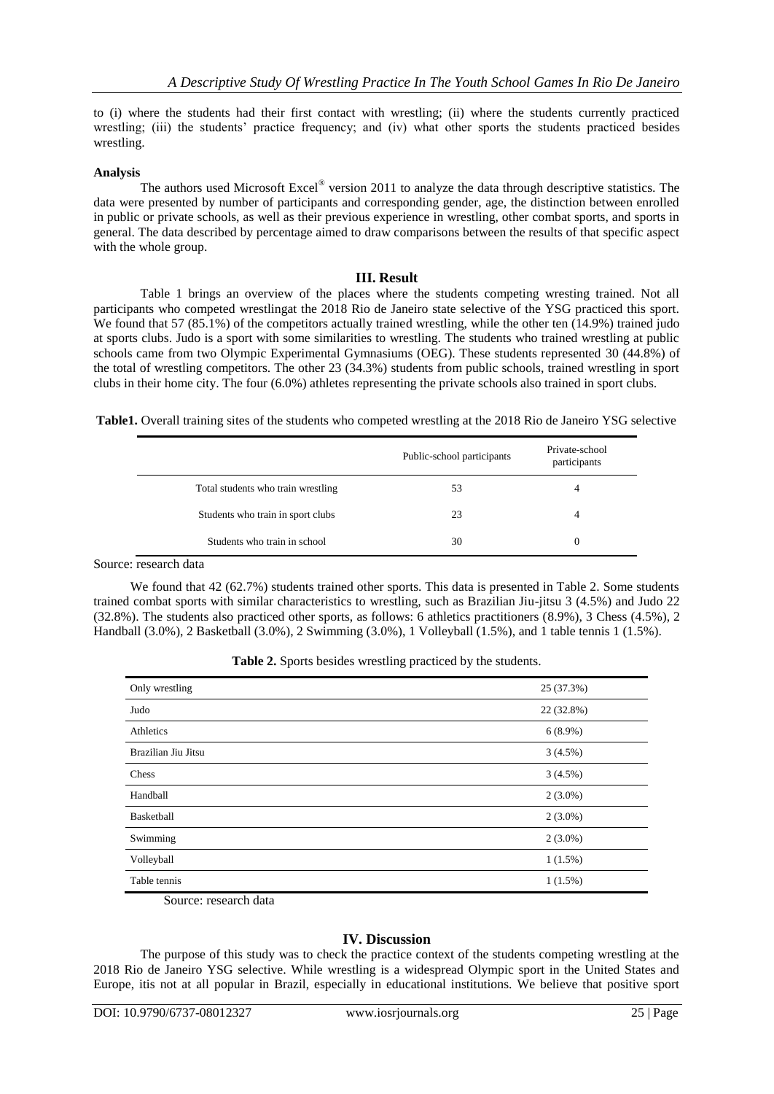to (i) where the students had their first contact with wrestling; (ii) where the students currently practiced wrestling; (iii) the students' practice frequency; and (iv) what other sports the students practiced besides wrestling.

### **Analysis**

The authors used Microsoft Excel<sup>®</sup> version 2011 to analyze the data through descriptive statistics. The data were presented by number of participants and corresponding gender, age, the distinction between enrolled in public or private schools, as well as their previous experience in wrestling, other combat sports, and sports in general. The data described by percentage aimed to draw comparisons between the results of that specific aspect with the whole group.

## **III. Result**

Table 1 brings an overview of the places where the students competing wresting trained. Not all participants who competed wrestlingat the 2018 Rio de Janeiro state selective of the YSG practiced this sport. We found that 57 (85.1%) of the competitors actually trained wrestling, while the other ten (14.9%) trained judo at sports clubs. Judo is a sport with some similarities to wrestling. The students who trained wrestling at public schools came from two Olympic Experimental Gymnasiums (OEG). These students represented 30 (44.8%) of the total of wrestling competitors. The other 23 (34.3%) students from public schools, trained wrestling in sport clubs in their home city. The four (6.0%) athletes representing the private schools also trained in sport clubs.

**Table1.** Overall training sites of the students who competed wrestling at the 2018 Rio de Janeiro YSG selective

|                                    | Public-school participants | Private-school<br>participants |
|------------------------------------|----------------------------|--------------------------------|
| Total students who train wrestling | 53                         | 4                              |
| Students who train in sport clubs  | 23                         | 4                              |
| Students who train in school       | 30                         | $\Omega$                       |

Source: research data

We found that 42 (62.7%) students trained other sports. This data is presented in Table 2. Some students trained combat sports with similar characteristics to wrestling, such as Brazilian Jiu-jitsu 3 (4.5%) and Judo 22 (32.8%). The students also practiced other sports, as follows: 6 athletics practitioners (8.9%), 3 Chess (4.5%), 2 Handball (3.0%), 2 Basketball (3.0%), 2 Swimming (3.0%), 1 Volleyball (1.5%), and 1 table tennis 1 (1.5%).

| Table 2. Sports besides wrestling practiced by the students. |  |  |  |  |  |  |
|--------------------------------------------------------------|--|--|--|--|--|--|
|--------------------------------------------------------------|--|--|--|--|--|--|

| Only wrestling      | 25 (37.3%) |
|---------------------|------------|
| Judo                | 22 (32.8%) |
| Athletics           | $6(8.9\%)$ |
| Brazilian Jiu Jitsu | 3(4.5%)    |
| Chess               | 3(4.5%)    |
| Handball            | $2(3.0\%)$ |
| <b>Basketball</b>   | $2(3.0\%)$ |
| Swimming            | $2(3.0\%)$ |
| Volleyball          | $1(1.5\%)$ |
| Table tennis        | $1(1.5\%)$ |

Source: research data

### **IV. Discussion**

The purpose of this study was to check the practice context of the students competing wrestling at the 2018 Rio de Janeiro YSG selective. While wrestling is a widespread Olympic sport in the United States and Europe, itis not at all popular in Brazil, especially in educational institutions. We believe that positive sport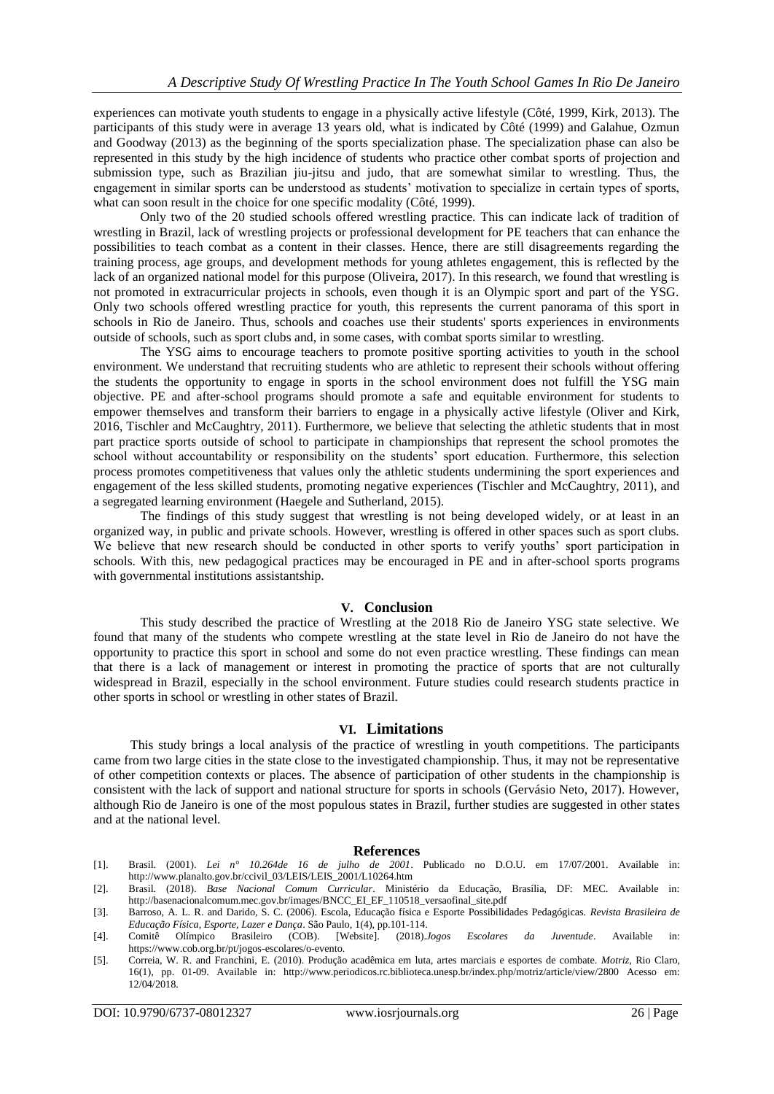experiences can motivate youth students to engage in a physically active lifestyle (Côté, 1999, Kirk, 2013). The participants of this study were in average 13 years old, what is indicated by Côté (1999) and Galahue, Ozmun and Goodway (2013) as the beginning of the sports specialization phase. The specialization phase can also be represented in this study by the high incidence of students who practice other combat sports of projection and submission type, such as Brazilian jiu-jitsu and judo, that are somewhat similar to wrestling. Thus, the engagement in similar sports can be understood as students' motivation to specialize in certain types of sports, what can soon result in the choice for one specific modality (Côté, 1999).

Only two of the 20 studied schools offered wrestling practice. This can indicate lack of tradition of wrestling in Brazil, lack of wrestling projects or professional development for PE teachers that can enhance the possibilities to teach combat as a content in their classes. Hence, there are still disagreements regarding the training process, age groups, and development methods for young athletes engagement, this is reflected by the lack of an organized national model for this purpose (Oliveira, 2017). In this research, we found that wrestling is not promoted in extracurricular projects in schools, even though it is an Olympic sport and part of the YSG. Only two schools offered wrestling practice for youth, this represents the current panorama of this sport in schools in Rio de Janeiro. Thus, schools and coaches use their students' sports experiences in environments outside of schools, such as sport clubs and, in some cases, with combat sports similar to wrestling.

The YSG aims to encourage teachers to promote positive sporting activities to youth in the school environment. We understand that recruiting students who are athletic to represent their schools without offering the students the opportunity to engage in sports in the school environment does not fulfill the YSG main objective. PE and after-school programs should promote a safe and equitable environment for students to empower themselves and transform their barriers to engage in a physically active lifestyle (Oliver and Kirk, 2016, Tischler and McCaughtry, 2011). Furthermore, we believe that selecting the athletic students that in most part practice sports outside of school to participate in championships that represent the school promotes the school without accountability or responsibility on the students' sport education. Furthermore, this selection process promotes competitiveness that values only the athletic students undermining the sport experiences and engagement of the less skilled students, promoting negative experiences (Tischler and McCaughtry, 2011), and a segregated learning environment (Haegele and Sutherland, 2015).

The findings of this study suggest that wrestling is not being developed widely, or at least in an organized way, in public and private schools. However, wrestling is offered in other spaces such as sport clubs. We believe that new research should be conducted in other sports to verify youths' sport participation in schools. With this, new pedagogical practices may be encouraged in PE and in after-school sports programs with governmental institutions assistantship.

### **V. Conclusion**

This study described the practice of Wrestling at the 2018 Rio de Janeiro YSG state selective. We found that many of the students who compete wrestling at the state level in Rio de Janeiro do not have the opportunity to practice this sport in school and some do not even practice wrestling. These findings can mean that there is a lack of management or interest in promoting the practice of sports that are not culturally widespread in Brazil, especially in the school environment. Future studies could research students practice in other sports in school or wrestling in other states of Brazil.

#### **VI. Limitations**

This study brings a local analysis of the practice of wrestling in youth competitions. The participants came from two large cities in the state close to the investigated championship. Thus, it may not be representative of other competition contexts or places. The absence of participation of other students in the championship is consistent with the lack of support and national structure for sports in schools (Gervásio Neto, 2017). However, although Rio de Janeiro is one of the most populous states in Brazil, further studies are suggested in other states and at the national level.

#### **References**

- [1]. Brasil. (2001). *Lei n° 10.264de 16 de julho de 2001*. Publicado no D.O.U. em 17/07/2001. Available in: [http://www.planalto.gov.br/ccivil\\_03/LEIS/LEIS\\_2001/L10264.htm](http://www.planalto.gov.br/ccivil_03/LEIS/LEIS_2001/L10264.htm)
- [2]. Brasil. (2018). *Base Nacional Comum Curricular*. Ministério da Educação, Brasília, DF: MEC. Available in: [http://basenacionalcomum.mec.gov.br/images/BNCC\\_EI\\_EF\\_110518\\_versaofinal\\_site.pdf](http://basenacionalcomum.mec.gov.br/images/BNCC_EI_EF_110518_versaofinal_site.pdf)
- [3]. Barroso, A. L. R. and Darido, S. C. (2006). Escola, Educação física e Esporte Possibilidades Pedagógicas. *Revista Brasileira de Educação Física, Esporte, Lazer e Dança*. São Paulo, 1(4), pp.101-114.
- [4]. Comitê Olímpico Brasileiro (COB). [Website]. (2018).*Jogos Escolares da Juventude*. Available in: [https://www.cob.org.br/pt/jogos-escolares/o-evento.](https://www.cob.org.br/pt/jogos-escolares/o-evento)
- [5]. Correia, W. R. and Franchini, E. (2010). Produção acadêmica em luta, artes marciais e esportes de combate. *Motriz*, Rio Claro, 16(1), pp. 01-09. Available in: <http://www.periodicos.rc.biblioteca.unesp.br/index.php/motriz/article/view/2800> Acesso em: 12/04/2018.